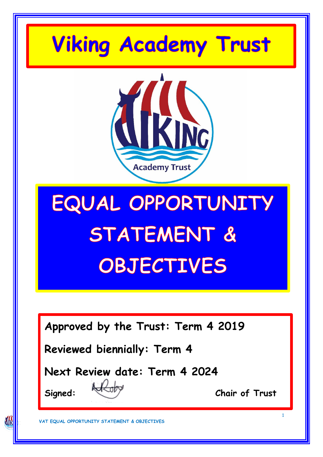## **Viking Academy Trust**



# EQUAL OPPORTUNITY STATEMENT & OBJECTIVES

**Approved by the Trust: Term 4 2019**

**Reviewed biennially: Term 4**

**Next Review date: Term 4 2024**

**KK** 

**Signed: Chair of Trust**

1

**VAT EQUAL OPPORTUNITY STATEMENT & OBJECTIVES**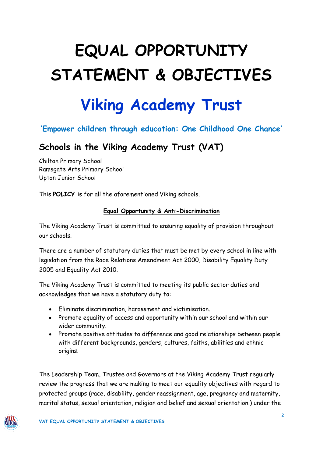### **EQUAL OPPORTUNITY STATEMENT & OBJECTIVES**

### **Viking Academy Trust**

#### **'Empower children through education: One Childhood One Chance'**

#### **Schools in the Viking Academy Trust (VAT)**

Chilton Primary School Ramsgate Arts Primary School Upton Junior School

This **POLICY** is for all the aforementioned Viking schools.

#### **Equal Opportunity & Anti-Discrimination**

The Viking Academy Trust is committed to ensuring equality of provision throughout our schools.

There are a number of statutory duties that must be met by every school in line with legislation from the Race Relations Amendment Act 2000, Disability Equality Duty 2005 and Equality Act 2010.

The Viking Academy Trust is committed to meeting its public sector duties and acknowledges that we have a statutory duty to:

- Eliminate discrimination, harassment and victimisation.
- Promote equality of access and opportunity within our school and within our wider community.
- Promote positive attitudes to difference and good relationships between people with different backgrounds, genders, cultures, faiths, abilities and ethnic origins.

The Leadership Team, Trustee and Governors at the Viking Academy Trust regularly review the progress that we are making to meet our equality objectives with regard to protected groups (race, disability, gender reassignment, age, pregnancy and maternity, marital status, sexual orientation, religion and belief and sexual orientation.) under the

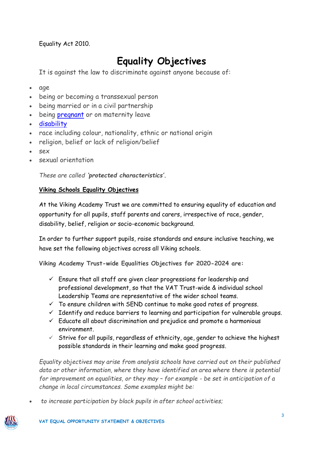Equality Act 2010.

#### **Equality Objectives**

It is against the law to discriminate against anyone because of:

- age
- being or becoming a transsexual person
- being married or in a civil partnership
- being [pregnant](https://www.gov.uk/working-when-pregnant-your-rights) or on maternity leave
- [disability](https://www.gov.uk/definition-of-disability-under-equality-act-2010)
- race including colour, nationality, ethnic or national origin
- religion, belief or lack of religion/belief
- sex
- sexual orientation

*These are called 'protected characteristics'.*

#### **Viking Schools Equality Objectives**

At the Viking Academy Trust we are committed to ensuring equality of education and opportunity for all pupils, staff parents and carers, irrespective of race, gender, disability, belief, religion or socio-economic background.

In order to further support pupils, raise standards and ensure inclusive teaching, we have set the following objectives across all Viking schools.

**Viking Academy Trust-wide Equalities Objectives for 2020-2024 are:**

- $\checkmark$  Ensure that all staff are given clear progressions for leadership and professional development, so that the VAT Trust-wide & individual school Leadership Teams are representative of the wider school teams.
- $\checkmark$  To ensure children with SEND continue to make good rates of progress.
- ✓ Identify and reduce barriers to learning and participation for vulnerable groups.
- $\checkmark$  Educate all about discrimination and prejudice and promote a harmonious environment.
- $\checkmark$  Strive for all pupils, regardless of ethnicity, age, gender to achieve the highest possible standards in their learning and make good progress.

*Equality objectives may arise from analysis schools have carried out on their published data or other information, where they have identified an area where there is potential for improvement on equalities, or they may – for example - be set in anticipation of a change in local circumstances. Some examples might be:*

• *to increase participation by black pupils in after school activities;*